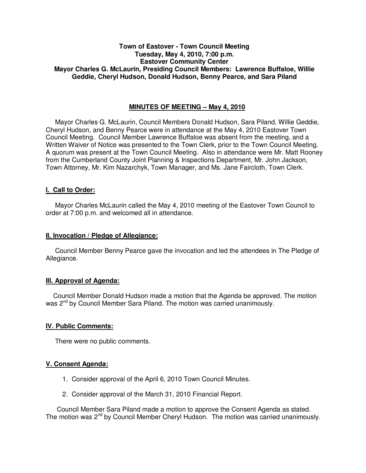## **Town of Eastover - Town Council Meeting Tuesday, May 4, 2010, 7:00 p.m. Eastover Community Center Mayor Charles G. McLaurin, Presiding Council Members: Lawrence Buffaloe, Willie Geddie, Cheryl Hudson, Donald Hudson, Benny Pearce, and Sara Piland**

## **MINUTES OF MEETING – May 4, 2010**

Mayor Charles G. McLaurin, Council Members Donald Hudson, Sara Piland, Willie Geddie, Cheryl Hudson, and Benny Pearce were in attendance at the May 4, 2010 Eastover Town Council Meeting. Council Member Lawrence Buffaloe was absent from the meeting, and a Written Waiver of Notice was presented to the Town Clerk, prior to the Town Council Meeting. A quorum was present at the Town Council Meeting. Also in attendance were Mr. Matt Rooney from the Cumberland County Joint Planning & Inspections Department, Mr. John Jackson, Town Attorney, Mr. Kim Nazarchyk, Town Manager, and Ms. Jane Faircloth, Town Clerk.

## **I. Call to Order:**

Mayor Charles McLaurin called the May 4, 2010 meeting of the Eastover Town Council to order at 7:00 p.m. and welcomed all in attendance.

### **II. Invocation / Pledge of Allegiance:**

 Council Member Benny Pearce gave the invocation and led the attendees in The Pledge of Allegiance.

## **III. Approval of Agenda:**

 Council Member Donald Hudson made a motion that the Agenda be approved. The motion was 2<sup>nd</sup> by Council Member Sara Piland. The motion was carried unanimously.

## **IV. Public Comments:**

There were no public comments.

## **V. Consent Agenda:**

- 1. Consider approval of the April 6, 2010 Town Council Minutes.
- 2. Consider approval of the March 31, 2010 Financial Report.

 Council Member Sara Piland made a motion to approve the Consent Agenda as stated. The motion was 2<sup>nd</sup> by Council Member Cheryl Hudson. The motion was carried unanimously.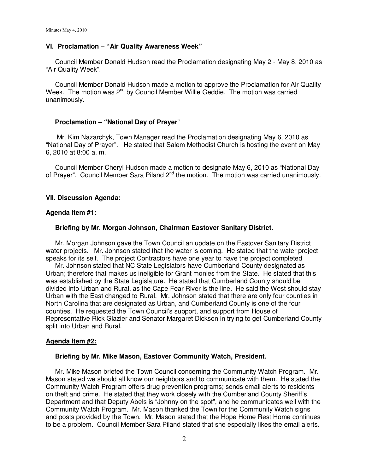## **VI. Proclamation – "Air Quality Awareness Week"**

 Council Member Donald Hudson read the Proclamation designating May 2 - May 8, 2010 as "Air Quality Week".

 Council Member Donald Hudson made a motion to approve the Proclamation for Air Quality Week. The motion was 2<sup>nd</sup> by Council Member Willie Geddie. The motion was carried unanimously.

### **Proclamation – "National Day of Prayer**"

 Mr. Kim Nazarchyk, Town Manager read the Proclamation designating May 6, 2010 as "National Day of Prayer". He stated that Salem Methodist Church is hosting the event on May 6, 2010 at 8:00 a. m.

 Council Member Cheryl Hudson made a motion to designate May 6, 2010 as "National Day of Prayer". Council Member Sara Piland 2<sup>nd</sup> the motion. The motion was carried unanimously.

### **VII. Discussion Agenda:**

#### **Agenda Item #1:**

### **Briefing by Mr. Morgan Johnson, Chairman Eastover Sanitary District.**

 Mr. Morgan Johnson gave the Town Council an update on the Eastover Sanitary District water projects. Mr. Johnson stated that the water is coming. He stated that the water project speaks for its self. The project Contractors have one year to have the project completed

 Mr. Johnson stated that NC State Legislators have Cumberland County designated as Urban; therefore that makes us ineligible for Grant monies from the State. He stated that this was established by the State Legislature. He stated that Cumberland County should be divided into Urban and Rural, as the Cape Fear River is the line. He said the West should stay Urban with the East changed to Rural. Mr. Johnson stated that there are only four counties in North Carolina that are designated as Urban, and Cumberland County is one of the four counties. He requested the Town Council's support, and support from House of Representative Rick Glazier and Senator Margaret Dickson in trying to get Cumberland County split into Urban and Rural.

#### **Agenda Item #2:**

### **Briefing by Mr. Mike Mason, Eastover Community Watch, President.**

 Mr. Mike Mason briefed the Town Council concerning the Community Watch Program. Mr. Mason stated we should all know our neighbors and to communicate with them. He stated the Community Watch Program offers drug prevention programs; sends email alerts to residents on theft and crime. He stated that they work closely with the Cumberland County Sheriff's Department and that Deputy Abels is "Johnny on the spot", and he communicates well with the Community Watch Program. Mr. Mason thanked the Town for the Community Watch signs and posts provided by the Town. Mr. Mason stated that the Hope Home Rest Home continues to be a problem. Council Member Sara Piland stated that she especially likes the email alerts.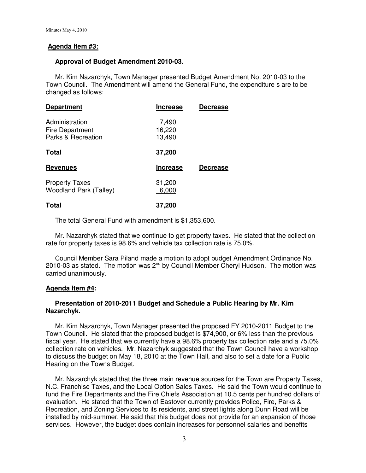## **Agenda Item #3:**

## **Approval of Budget Amendment 2010-03.**

 Mr. Kim Nazarchyk, Town Manager presented Budget Amendment No. 2010-03 to the Town Council. The Amendment will amend the General Fund, the expenditure s are to be changed as follows:

| <b>Department</b>                                       | <b>Increase</b>           | <b>Decrease</b> |
|---------------------------------------------------------|---------------------------|-----------------|
| Administration<br>Fire Department<br>Parks & Recreation | 7,490<br>16,220<br>13,490 |                 |
| Total                                                   | 37,200                    |                 |
| <b>Revenues</b>                                         | <b>Increase</b>           | <b>Decrease</b> |
| <b>Property Taxes</b><br><b>Woodland Park (Talley)</b>  | 31,200<br>6,000           |                 |
| <b>Total</b>                                            | 37,200                    |                 |

The total General Fund with amendment is \$1,353,600.

 Mr. Nazarchyk stated that we continue to get property taxes. He stated that the collection rate for property taxes is 98.6% and vehicle tax collection rate is 75.0%.

 Council Member Sara Piland made a motion to adopt budget Amendment Ordinance No. 2010-03 as stated. The motion was  $2^{nd}$  by Council Member Cheryl Hudson. The motion was carried unanimously.

## **Agenda Item #4:**

## **Presentation of 2010-2011 Budget and Schedule a Public Hearing by Mr. Kim Nazarchyk.**

 Mr. Kim Nazarchyk, Town Manager presented the proposed FY 2010-2011 Budget to the Town Council. He stated that the proposed budget is \$74,900, or 6% less than the previous fiscal year. He stated that we currently have a 98.6% property tax collection rate and a 75.0% collection rate on vehicles. Mr. Nazarchyk suggested that the Town Council have a workshop to discuss the budget on May 18, 2010 at the Town Hall, and also to set a date for a Public Hearing on the Towns Budget.

 Mr. Nazarchyk stated that the three main revenue sources for the Town are Property Taxes, N.C. Franchise Taxes, and the Local Option Sales Taxes. He said the Town would continue to fund the Fire Departments and the Fire Chiefs Association at 10.5 cents per hundred dollars of evaluation. He stated that the Town of Eastover currently provides Police, Fire, Parks & Recreation, and Zoning Services to its residents, and street lights along Dunn Road will be installed by mid-summer. He said that this budget does not provide for an expansion of those services. However, the budget does contain increases for personnel salaries and benefits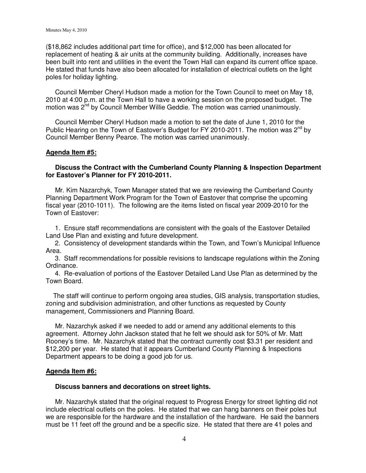(\$18,862 includes additional part time for office), and \$12,000 has been allocated for replacement of heating & air units at the community building. Additionally, increases have been built into rent and utilities in the event the Town Hall can expand its current office space. He stated that funds have also been allocated for installation of electrical outlets on the light poles for holiday lighting.

 Council Member Cheryl Hudson made a motion for the Town Council to meet on May 18, 2010 at 4:00 p.m. at the Town Hall to have a working session on the proposed budget. The motion was 2<sup>nd</sup> by Council Member Willie Geddie. The motion was carried unanimously.

 Council Member Cheryl Hudson made a motion to set the date of June 1, 2010 for the Public Hearing on the Town of Eastover's Budget for FY 2010-2011. The motion was  $2^{nd}$  by Council Member Benny Pearce. The motion was carried unanimously.

### **Agenda Item #5:**

### **Discuss the Contract with the Cumberland County Planning & Inspection Department for Eastover's Planner for FY 2010-2011.**

 Mr. Kim Nazarchyk, Town Manager stated that we are reviewing the Cumberland County Planning Department Work Program for the Town of Eastover that comprise the upcoming fiscal year (2010-1011). The following are the items listed on fiscal year 2009-2010 for the Town of Eastover:

 1. Ensure staff recommendations are consistent with the goals of the Eastover Detailed Land Use Plan and existing and future development.

 2. Consistency of development standards within the Town, and Town's Municipal Influence Area.

 3. Staff recommendations for possible revisions to landscape regulations within the Zoning Ordinance.

 4. Re-evaluation of portions of the Eastover Detailed Land Use Plan as determined by the Town Board.

 The staff will continue to perform ongoing area studies, GIS analysis, transportation studies, zoning and subdivision administration, and other functions as requested by County management, Commissioners and Planning Board.

 Mr. Nazarchyk asked if we needed to add or amend any additional elements to this agreement. Attorney John Jackson stated that he felt we should ask for 50% of Mr. Matt Rooney's time. Mr. Nazarchyk stated that the contract currently cost \$3.31 per resident and \$12,200 per year. He stated that it appears Cumberland County Planning & Inspections Department appears to be doing a good job for us.

### **Agenda Item #6:**

#### **Discuss banners and decorations on street lights.**

 Mr. Nazarchyk stated that the original request to Progress Energy for street lighting did not include electrical outlets on the poles. He stated that we can hang banners on their poles but we are responsible for the hardware and the installation of the hardware. He said the banners must be 11 feet off the ground and be a specific size. He stated that there are 41 poles and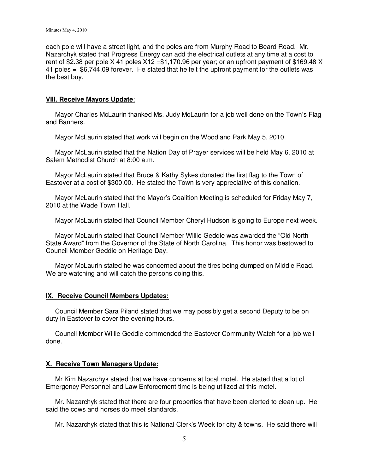each pole will have a street light, and the poles are from Murphy Road to Beard Road. Mr. Nazarchyk stated that Progress Energy can add the electrical outlets at any time at a cost to rent of \$2.38 per pole X 41 poles X12 = \$1,170.96 per year; or an upfront payment of \$169.48 X 41 poles = \$6,744.09 forever. He stated that he felt the upfront payment for the outlets was the best buy.

## **VIII. Receive Mayors Update**:

 Mayor Charles McLaurin thanked Ms. Judy McLaurin for a job well done on the Town's Flag and Banners.

Mayor McLaurin stated that work will begin on the Woodland Park May 5, 2010.

 Mayor McLaurin stated that the Nation Day of Prayer services will be held May 6, 2010 at Salem Methodist Church at 8:00 a.m.

 Mayor McLaurin stated that Bruce & Kathy Sykes donated the first flag to the Town of Eastover at a cost of \$300.00. He stated the Town is very appreciative of this donation.

 Mayor McLaurin stated that the Mayor's Coalition Meeting is scheduled for Friday May 7, 2010 at the Wade Town Hall.

Mayor McLaurin stated that Council Member Cheryl Hudson is going to Europe next week.

 Mayor McLaurin stated that Council Member Willie Geddie was awarded the "Old North State Award" from the Governor of the State of North Carolina. This honor was bestowed to Council Member Geddie on Heritage Day.

 Mayor McLaurin stated he was concerned about the tires being dumped on Middle Road. We are watching and will catch the persons doing this.

# **IX. Receive Council Members Updates:**

 Council Member Sara Piland stated that we may possibly get a second Deputy to be on duty in Eastover to cover the evening hours.

 Council Member Willie Geddie commended the Eastover Community Watch for a job well done.

# **X. Receive Town Managers Update:**

 Mr Kim Nazarchyk stated that we have concerns at local motel. He stated that a lot of Emergency Personnel and Law Enforcement time is being utilized at this motel.

 Mr. Nazarchyk stated that there are four properties that have been alerted to clean up. He said the cows and horses do meet standards.

Mr. Nazarchyk stated that this is National Clerk's Week for city & towns. He said there will